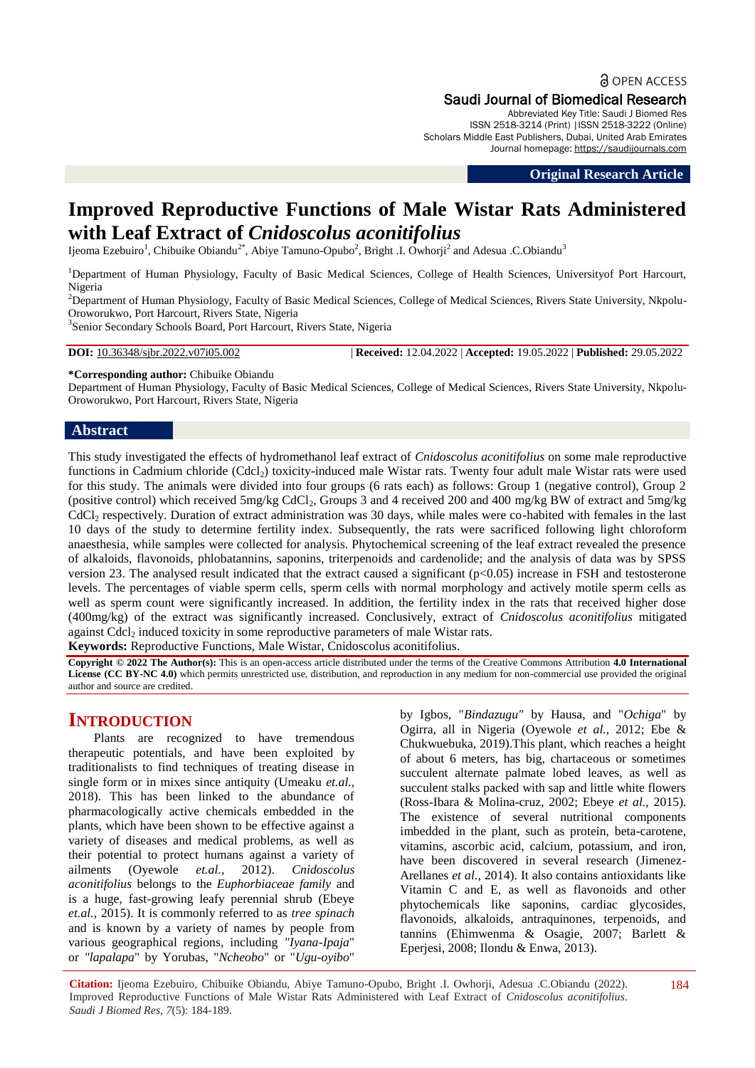# **a** OPEN ACCESS

Saudi Journal of Biomedical Research Abbreviated Key Title: Saudi J Biomed Res

ISSN 2518-3214 (Print) |ISSN 2518-3222 (Online) Scholars Middle East Publishers, Dubai, United Arab Emirates Journal homepage: [https://saudijournals.com](https://saudijournals.com/sjbr)

**Original Research Article**

## **Improved Reproductive Functions of Male Wistar Rats Administered with Leaf Extract of** *Cnidoscolus aconitifolius*

Ijeoma Ezebuiro<sup>1</sup>, Chibuike Obiandu<sup>2\*</sup>, Abiye Tamuno-Opubo<sup>2</sup>, Bright .I. Owhorji<sup>2</sup> and Adesua .C.Obiandu<sup>3</sup>

<sup>1</sup>Department of Human Physiology, Faculty of Basic Medical Sciences, College of Health Sciences, Universityof Port Harcourt, Nigeria

<sup>2</sup>Department of Human Physiology, Faculty of Basic Medical Sciences, College of Medical Sciences, Rivers State University, Nkpolu-Oroworukwo, Port Harcourt, Rivers State, Nigeria

<sup>3</sup>Senior Secondary Schools Board, Port Harcourt, Rivers State, Nigeria

**DOI:** 10.36348/sjbr.2022.v07i05.002 | **Received:** 12.04.2022 | **Accepted:** 19.05.2022 | **Published:** 29.05.2022

**\*Corresponding author:** Chibuike Obiandu

Department of Human Physiology, Faculty of Basic Medical Sciences, College of Medical Sciences, Rivers State University, Nkpolu-Oroworukwo, Port Harcourt, Rivers State, Nigeria

#### **Abstract**

This study investigated the effects of hydromethanol leaf extract of *Cnidoscolus aconitifolius* on some male reproductive functions in Cadmium chloride (Cdcl<sub>2</sub>) toxicity-induced male Wistar rats. Twenty four adult male Wistar rats were used for this study. The animals were divided into four groups (6 rats each) as follows: Group 1 (negative control), Group 2 (positive control) which received  $5mg/kg$  CdCl<sub>2</sub>, Groups 3 and 4 received 200 and 400 mg/kg BW of extract and  $5mg/kg$  $CdCl<sub>2</sub>$  respectively. Duration of extract administration was 30 days, while males were co-habited with females in the last 10 days of the study to determine fertility index. Subsequently, the rats were sacrificed following light chloroform anaesthesia, while samples were collected for analysis. Phytochemical screening of the leaf extract revealed the presence of alkaloids, flavonoids, phlobatannins, saponins, triterpenoids and cardenolide; and the analysis of data was by SPSS version 23. The analysed result indicated that the extract caused a significant (p<0.05) increase in FSH and testosterone levels. The percentages of viable sperm cells, sperm cells with normal morphology and actively motile sperm cells as well as sperm count were significantly increased. In addition, the fertility index in the rats that received higher dose (400mg/kg) of the extract was significantly increased. Conclusively, extract of *Cnidoscolus aconitifolius* mitigated against Cdcl<sub>2</sub> induced toxicity in some reproductive parameters of male Wistar rats.

**Keywords:** Reproductive Functions, Male Wistar, Cnidoscolus aconitifolius.

**Copyright © 2022 The Author(s):** This is an open-access article distributed under the terms of the Creative Commons Attribution **4.0 International License (CC BY-NC 4.0)** which permits unrestricted use, distribution, and reproduction in any medium for non-commercial use provided the original author and source are credited.

### **INTRODUCTION**

Plants are recognized to have tremendous therapeutic potentials, and have been exploited by traditionalists to find techniques of treating disease in single form or in mixes since antiquity (Umeaku *et.al.,*  2018). This has been linked to the abundance of pharmacologically active chemicals embedded in the plants, which have been shown to be effective against a variety of diseases and medical problems, as well as their potential to protect humans against a variety of ailments (Oyewole *et.al.*, 2012). *Cnidoscolus aconitifolius* belongs to the *Euphorbiaceae family* and is a huge, fast-growing leafy perennial shrub (Ebeye *et.al.,* 2015). It is commonly referred to as *tree spinach* and is known by a variety of names by people from various geographical regions, including *"Iyana-Ipaja*" or *"lapalapa*" by Yorubas, "*Ncheobo*" or "*Ugu-oyibo*"

by Igbos, "*Bindazugu"* by Hausa, and "*Ochiga*" by Ogirra, all in Nigeria (Oyewole *et al.,* 2012; Ebe & Chukwuebuka, 2019).This plant, which reaches a height of about 6 meters, has big, chartaceous or sometimes succulent alternate palmate lobed leaves, as well as succulent stalks packed with sap and little white flowers (Ross-Ibara & Molina-cruz, 2002; Ebeye *et al.,* 2015). The existence of several nutritional components imbedded in the plant, such as protein, beta-carotene, vitamins, ascorbic acid, calcium, potassium, and iron, have been discovered in several research (Jimenez-Arellanes *et al.*, 2014). It also contains antioxidants like Vitamin C and E, as well as flavonoids and other phytochemicals like saponins, cardiac glycosides, flavonoids, alkaloids, antraquinones, terpenoids, and tannins (Ehimwenma & Osagie, 2007; Barlett & Eperjesi, 2008; Ilondu & Enwa, 2013).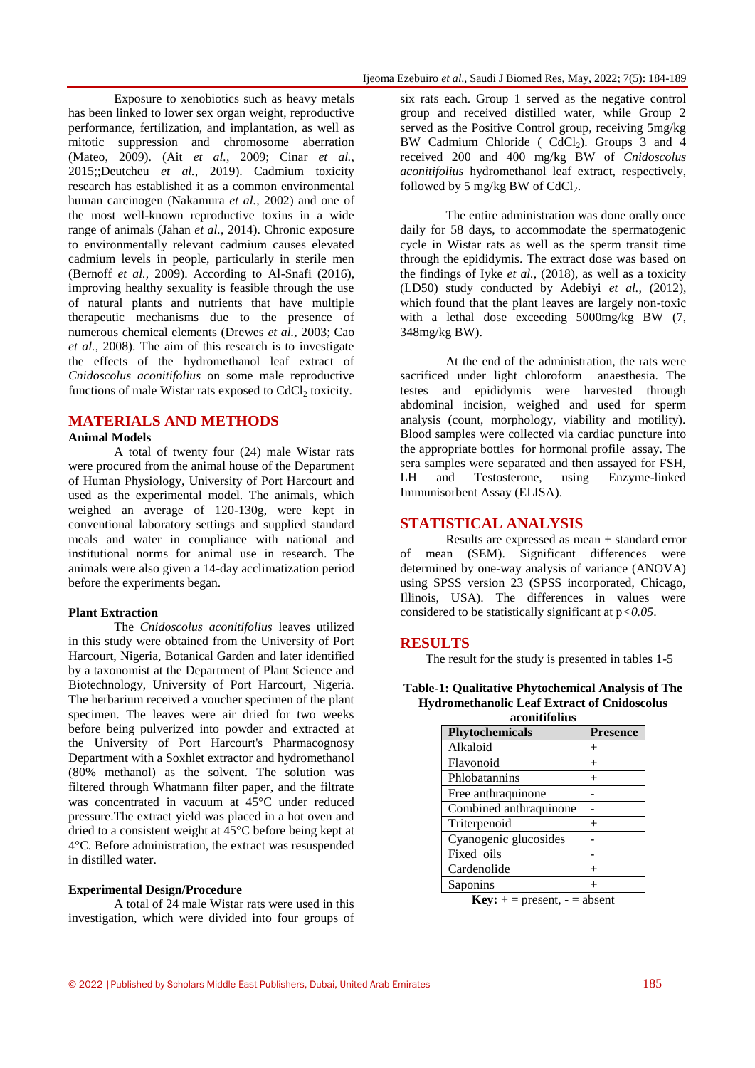Exposure to xenobiotics such as heavy metals has been linked to lower sex organ weight, reproductive performance, fertilization, and implantation, as well as mitotic suppression and chromosome aberration (Mateo, 2009). (Ait *et al.,* 2009; Cinar *et al.,* 2015;;Deutcheu *et al.,* 2019). Cadmium toxicity research has established it as a common environmental human carcinogen (Nakamura *et al.,* 2002) and one of the most well-known reproductive toxins in a wide range of animals (Jahan *et al.*, 2014). Chronic exposure to environmentally relevant cadmium causes elevated cadmium levels in people, particularly in sterile men (Bernoff *et al.,* 2009). According to Al-Snafi (2016), improving healthy sexuality is feasible through the use of natural plants and nutrients that have multiple therapeutic mechanisms due to the presence of numerous chemical elements (Drewes *et al.,* 2003; Cao *et al.,* 2008). The aim of this research is to investigate the effects of the hydromethanol leaf extract of *Cnidoscolus aconitifolius* on some male reproductive functions of male Wistar rats exposed to  $CdCl<sub>2</sub>$  toxicity.

#### **MATERIALS AND METHODS**

#### **Animal Models**

A total of twenty four (24) male Wistar rats were procured from the animal house of the Department of Human Physiology, University of Port Harcourt and used as the experimental model. The animals, which weighed an average of 120-130g, were kept in conventional laboratory settings and supplied standard meals and water in compliance with national and institutional norms for animal use in research. The animals were also given a 14-day acclimatization period before the experiments began.

#### **Plant Extraction**

The *Cnidoscolus aconitifolius* leaves utilized in this study were obtained from the University of Port Harcourt, Nigeria, Botanical Garden and later identified by a taxonomist at the Department of Plant Science and Biotechnology, University of Port Harcourt, Nigeria. The herbarium received a voucher specimen of the plant specimen. The leaves were air dried for two weeks before being pulverized into powder and extracted at the University of Port Harcourt's Pharmacognosy Department with a Soxhlet extractor and hydromethanol (80% methanol) as the solvent. The solution was filtered through Whatmann filter paper, and the filtrate was concentrated in vacuum at 45°C under reduced pressure.The extract yield was placed in a hot oven and dried to a consistent weight at 45°C before being kept at 4°C. Before administration, the extract was resuspended in distilled water.

#### **Experimental Design/Procedure**

A total of 24 male Wistar rats were used in this investigation, which were divided into four groups of six rats each. Group 1 served as the negative control group and received distilled water, while Group 2 served as the Positive Control group, receiving 5mg/kg BW Cadmium Chloride ( $CdCl<sub>2</sub>$ ). Groups 3 and 4 received 200 and 400 mg/kg BW of *Cnidoscolus aconitifolius* hydromethanol leaf extract, respectively, followed by 5 mg/kg BW of  $CdCl<sub>2</sub>$ .

The entire administration was done orally once daily for 58 days, to accommodate the spermatogenic cycle in Wistar rats as well as the sperm transit time through the epididymis. The extract dose was based on the findings of Iyke *et al.,* (2018), as well as a toxicity (LD50) study conducted by Adebiyi *et al.,* (2012), which found that the plant leaves are largely non-toxic with a lethal dose exceeding 5000mg/kg BW (7, 348mg/kg BW).

At the end of the administration, the rats were sacrificed under light chloroform anaesthesia. The testes and epididymis were harvested through abdominal incision, weighed and used for sperm analysis (count, morphology, viability and motility). Blood samples were collected via cardiac puncture into the appropriate bottles for hormonal profile assay. The sera samples were separated and then assayed for FSH, LH and Testosterone, using Enzyme-linked Immunisorbent Assay (ELISA).

#### **STATISTICAL ANALYSIS**

Results are expressed as mean ± standard error of mean (SEM). Significant differences were determined by one-way analysis of variance (ANOVA) using SPSS version 23 (SPSS incorporated, Chicago, Illinois, USA). The differences in values were considered to be statistically significant at p*<0.05*.

#### **RESULTS**

The result for the study is presented in tables 1-5

| Table-1: Qualitative Phytochemical Analysis of The |
|----------------------------------------------------|
| <b>Hydromethanolic Leaf Extract of Cnidoscolus</b> |
| aconitifolius                                      |

| acomunomus             |                 |  |  |  |
|------------------------|-----------------|--|--|--|
| <b>Phytochemicals</b>  | <b>Presence</b> |  |  |  |
| Alkaloid               |                 |  |  |  |
| Flavonoid              |                 |  |  |  |
| Phlobatannins          |                 |  |  |  |
| Free anthraquinone     |                 |  |  |  |
| Combined anthraquinone |                 |  |  |  |
| Triterpenoid           |                 |  |  |  |
| Cyanogenic glucosides  |                 |  |  |  |
| Fixed oils             |                 |  |  |  |
| Cardenolide            |                 |  |  |  |
| Saponins               |                 |  |  |  |

**Key:**  $+$  = present,  $-$  = absent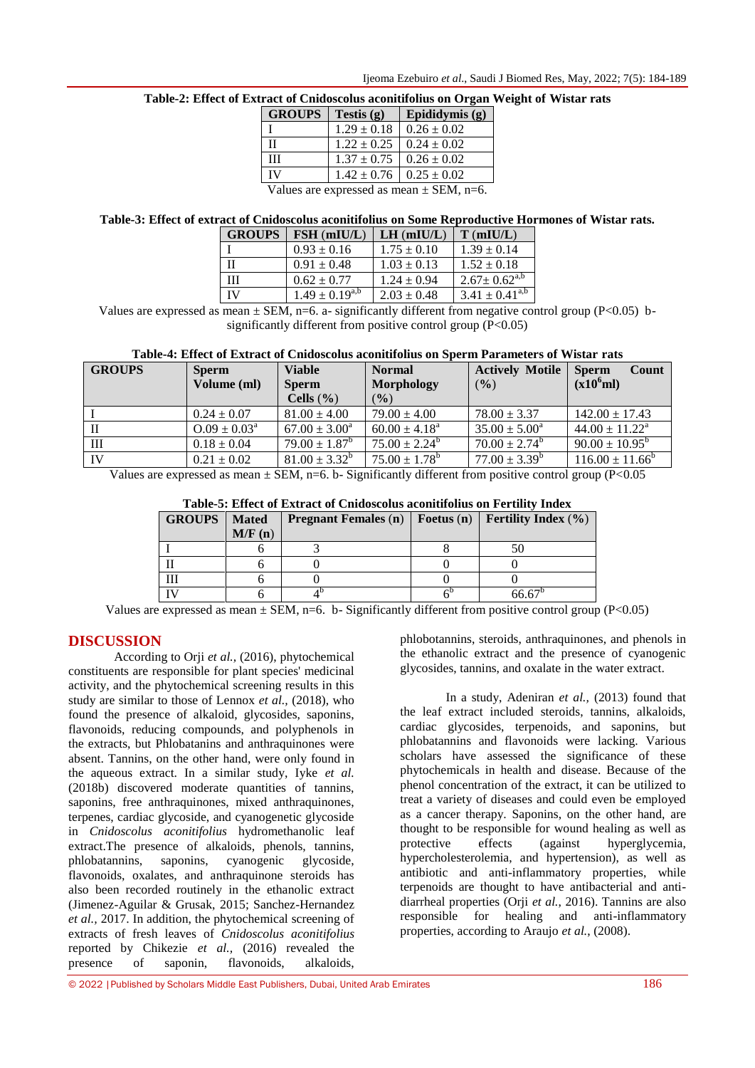|  | Ijeoma Ezebuiro et al., Saudi J Biomed Res, May, 2022; 7(5): 184-189 |  |  |
|--|----------------------------------------------------------------------|--|--|
|--|----------------------------------------------------------------------|--|--|

| <b>GROUPS</b>                                | Testis $(g)$    | Epididymis (g)  |  |  |
|----------------------------------------------|-----------------|-----------------|--|--|
|                                              | $1.29 \pm 0.18$ | $0.26 \pm 0.02$ |  |  |
| Н                                            | $1.22 \pm 0.25$ | $0.24 \pm 0.02$ |  |  |
| Ш                                            | $1.37 \pm 0.75$ | $0.26 \pm 0.02$ |  |  |
| IV                                           | $1.42 \pm 0.76$ | $0.25 \pm 0.02$ |  |  |
| Values are expressed as mean $\pm$ SEM, n=6. |                 |                 |  |  |

#### **Table-2: Effect of Extract of Cnidoscolus aconitifolius on Organ Weight of Wistar rats**

#### **Table-3: Effect of extract of Cnidoscolus aconitifolius on Some Reproductive Hormones of Wistar rats.**

| <b>GROUPS</b> | $FSH$ (mIU/L)         | $LH$ (mIU/L)    | $T$ (mIU/L)           |
|---------------|-----------------------|-----------------|-----------------------|
|               | $0.93 \pm 0.16$       | $1.75 \pm 0.10$ | $1.39 \pm 0.14$       |
|               | $0.91 \pm 0.48$       | $1.03 \pm 0.13$ | $1.52 \pm 0.18$       |
| Ш             | $0.62 \pm 0.77$       | $1.24 \pm 0.94$ | $2.67 \pm 0.62^{a,b}$ |
| IV            | $1.49 \pm 0.19^{a,b}$ | $2.03 \pm 0.48$ | $3.41 \pm 0.41^{a,b}$ |

Values are expressed as mean  $\pm$  SEM, n=6. a- significantly different from negative control group (P<0.05) bsignificantly different from positive control group (P<0.05)

| Table-4: Effect of Extract of Cnidoscolus aconitifolius on Sperm Parameters of Wistar rats |  |  |
|--------------------------------------------------------------------------------------------|--|--|
|                                                                                            |  |  |

| <b>GROUPS</b> | <b>Sperm</b>               | <b>Viable</b>            | <b>Normal</b>      | <b>Actively Motile</b>          | <b>Sperm</b><br>Count        |
|---------------|----------------------------|--------------------------|--------------------|---------------------------------|------------------------------|
|               | Volume (ml)                | <b>Sperm</b>             | <b>Morphology</b>  | (9/0)                           | (x10 <sup>6</sup> ml)        |
|               |                            | Cells $(\% )$            | $\frac{9}{0}$      |                                 |                              |
|               | $0.24 \pm 0.07$            | $81.00 \pm 4.00$         | $79.00 \pm 4.00$   | $78.00 \pm 3.37$                | $142.00 \pm 17.43$           |
| $\mathbf{I}$  | $0.09 \pm 0.03^{\text{a}}$ | $67.00 \pm 3.00^a$       | $60.00 \pm 4.18^a$ | $35.00 \pm 5.00^{\circ}$        | $44.00 \pm 11.22^{\text{a}}$ |
| III           | $0.18 \pm 0.04$            | $79.00 \pm 1.87^{\rm b}$ | $75.00 \pm 2.24^b$ | $70.00 \pm 2.74^{\rm b}$        | $90.00 \pm 10.95^{\rm b}$    |
| IV            | $0.21 \pm 0.02$            | $81.00 \pm 3.32^{\circ}$ | $75.00 \pm 1.78^b$ | $77.00 \pm 3.39^{\overline{b}}$ | $116.00 \pm 11.66^{\circ}$   |
|               |                            |                          |                    |                                 |                              |

Values are expressed as mean  $\pm$  SEM, n=6. b- Significantly different from positive control group (P<0.05

| Table-5. Effect of Extract of Chiqoscolus acommonus on Fertility Index |              |                                                 |  |                                |  |
|------------------------------------------------------------------------|--------------|-------------------------------------------------|--|--------------------------------|--|
| <b>GROUPS</b>                                                          | <b>Mated</b> | <b>Pregnant Females (n)</b>   <b>Foetus (n)</b> |  | <b>Fertility Index</b> $(\% )$ |  |
|                                                                        | M/F(n)       |                                                 |  |                                |  |
|                                                                        |              |                                                 |  |                                |  |
|                                                                        |              |                                                 |  |                                |  |
|                                                                        |              |                                                 |  |                                |  |
|                                                                        |              |                                                 |  |                                |  |

**Table-5: Effect of Extract of Cnidoscolus aconitifolius on Fertility Index**

Values are expressed as mean  $\pm$  SEM, n=6. b- Significantly different from positive control group (P<0.05)

#### **DISCUSSION**

According to Orji *et al.,* (2016), phytochemical constituents are responsible for plant species' medicinal activity, and the phytochemical screening results in this study are similar to those of Lennox *et al.,* (2018), who found the presence of alkaloid, glycosides, saponins, flavonoids, reducing compounds, and polyphenols in the extracts, but Phlobatanins and anthraquinones were absent. Tannins, on the other hand, were only found in the aqueous extract. In a similar study, Iyke *et al.* (2018b) discovered moderate quantities of tannins, saponins, free anthraquinones, mixed anthraquinones, terpenes, cardiac glycoside, and cyanogenetic glycoside in *Cnidoscolus aconitifolius* hydromethanolic leaf extract.The presence of alkaloids, phenols, tannins, phlobatannins, saponins, cyanogenic glycoside, flavonoids, oxalates, and anthraquinone steroids has also been recorded routinely in the ethanolic extract (Jimenez-Aguilar & Grusak, 2015; Sanchez-Hernandez *et al.,* 2017. In addition, the phytochemical screening of extracts of fresh leaves of *Cnidoscolus aconitifolius* reported by Chikezie *et al.,* (2016) revealed the presence of saponin, flavonoids, alkaloids,

phlobatannins and flavonoids were lacking. Various scholars have assessed the significance of these

phytochemicals in health and disease. Because of the phenol concentration of the extract, it can be utilized to treat a variety of diseases and could even be employed as a cancer therapy. Saponins, on the other hand, are thought to be responsible for wound healing as well as protective effects (against hyperglycemia, hypercholesterolemia, and hypertension), as well as antibiotic and anti-inflammatory properties, while terpenoids are thought to have antibacterial and antidiarrheal properties (Orji *et al.*, 2016). Tannins are also responsible for healing and anti-inflammatory properties, according to Araujo *et al.*, (2008).

phlobotannins, steroids, anthraquinones, and phenols in the ethanolic extract and the presence of cyanogenic glycosides, tannins, and oxalate in the water extract.

the leaf extract included steroids, tannins, alkaloids, cardiac glycosides, terpenoids, and saponins, but

In a study, Adeniran *et al.,* (2013) found that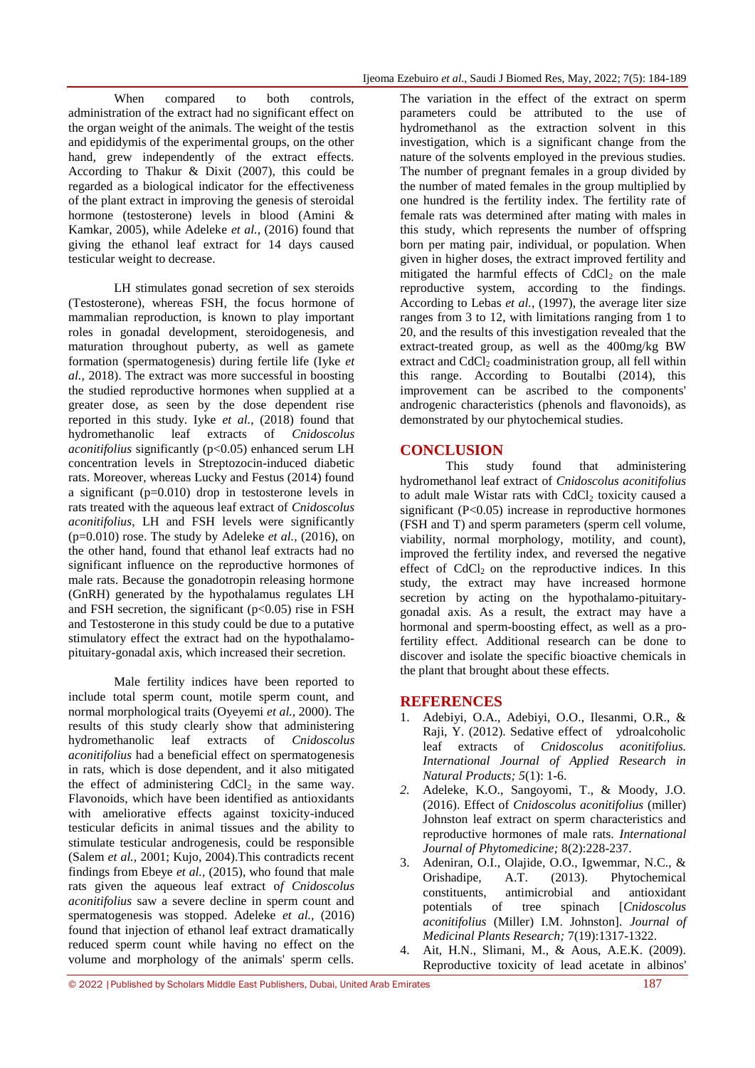When compared to both controls, administration of the extract had no significant effect on the organ weight of the animals. The weight of the testis and epididymis of the experimental groups, on the other hand, grew independently of the extract effects. According to Thakur & Dixit (2007), this could be regarded as a biological indicator for the effectiveness of the plant extract in improving the genesis of steroidal hormone (testosterone) levels in blood (Amini & Kamkar, 2005), while Adeleke *et al.,* (2016) found that giving the ethanol leaf extract for 14 days caused testicular weight to decrease.

LH stimulates gonad secretion of sex steroids (Testosterone), whereas FSH, the focus hormone of mammalian reproduction, is known to play important roles in gonadal development, steroidogenesis, and maturation throughout puberty, as well as gamete formation (spermatogenesis) during fertile life (Iyke *et al.,* 2018). The extract was more successful in boosting the studied reproductive hormones when supplied at a greater dose, as seen by the dose dependent rise reported in this study. Iyke *et al.*, (2018) found that hydromethanolic leaf extracts of *Cnidoscolus aconitifolius* significantly (p<0.05) enhanced serum LH concentration levels in Streptozocin-induced diabetic rats. Moreover, whereas Lucky and Festus (2014) found a significant (p=0.010) drop in testosterone levels in rats treated with the aqueous leaf extract of *Cnidoscolus aconitifolius*, LH and FSH levels were significantly (p=0.010) rose. The study by Adeleke *et al.,* (2016), on the other hand, found that ethanol leaf extracts had no significant influence on the reproductive hormones of male rats. Because the gonadotropin releasing hormone (GnRH) generated by the hypothalamus regulates LH and FSH secretion, the significant  $(p<0.05)$  rise in FSH and Testosterone in this study could be due to a putative stimulatory effect the extract had on the hypothalamopituitary-gonadal axis, which increased their secretion.

Male fertility indices have been reported to include total sperm count, motile sperm count, and normal morphological traits (Oyeyemi *et al.,* 2000). The results of this study clearly show that administering hydromethanolic leaf extracts of *Cnidoscolus aconitifolius* had a beneficial effect on spermatogenesis in rats, which is dose dependent, and it also mitigated the effect of administering  $CdCl<sub>2</sub>$  in the same way. Flavonoids, which have been identified as antioxidants with ameliorative effects against toxicity-induced testicular deficits in animal tissues and the ability to stimulate testicular androgenesis, could be responsible (Salem *et al.,* 2001; Kujo, 2004).This contradicts recent findings from Ebeye *et al.,* (2015), who found that male rats given the aqueous leaf extract o*f Cnidoscolus aconitifolius* saw a severe decline in sperm count and spermatogenesis was stopped. Adeleke *et al.,* (2016) found that injection of ethanol leaf extract dramatically reduced sperm count while having no effect on the volume and morphology of the animals' sperm cells.

The variation in the effect of the extract on sperm parameters could be attributed to the use of hydromethanol as the extraction solvent in this investigation, which is a significant change from the nature of the solvents employed in the previous studies. The number of pregnant females in a group divided by the number of mated females in the group multiplied by one hundred is the fertility index. The fertility rate of female rats was determined after mating with males in this study, which represents the number of offspring born per mating pair, individual, or population. When given in higher doses, the extract improved fertility and mitigated the harmful effects of  $CdCl<sub>2</sub>$  on the male reproductive system, according to the findings. According to Lebas *et al.,* (1997), the average liter size ranges from 3 to 12, with limitations ranging from 1 to 20, and the results of this investigation revealed that the extract-treated group, as well as the 400mg/kg BW extract and  $CdCl<sub>2</sub> coadministration group, all fell within$ this range. According to Boutalbi (2014), this improvement can be ascribed to the components' androgenic characteristics (phenols and flavonoids), as demonstrated by our phytochemical studies.

#### **CONCLUSION**

This study found that administering hydromethanol leaf extract of *Cnidoscolus aconitifolius* to adult male Wistar rats with CdCl<sub>2</sub> toxicity caused a significant (P<0.05) increase in reproductive hormones (FSH and T) and sperm parameters (sperm cell volume, viability, normal morphology, motility, and count), improved the fertility index, and reversed the negative effect of  $CdCl<sub>2</sub>$  on the reproductive indices. In this study, the extract may have increased hormone secretion by acting on the hypothalamo-pituitarygonadal axis. As a result, the extract may have a hormonal and sperm-boosting effect, as well as a profertility effect. Additional research can be done to discover and isolate the specific bioactive chemicals in the plant that brought about these effects.

#### **REFERENCES**

- 1. Adebiyi, O.A., Adebiyi, O.O., Ilesanmi, O.R., & Raji, Y. (2012). Sedative effect of ydroalcoholic leaf extracts of *Cnidoscolus aconitifolius. International Journal of Applied Research in Natural Products; 5*(1): 1-6.
- *2.* Adeleke, K.O., Sangoyomi, T., & Moody, J.O. (2016). Effect of *Cnidoscolus aconitifolius* (miller) Johnston leaf extract on sperm characteristics and reproductive hormones of male rats. *International Journal of Phytomedicine;* 8(2):228-237.
- 3. Adeniran, O.I., Olajide, O.O., Igwemmar, N.C., & Orishadipe, A.T. (2013). Phytochemical constituents, antimicrobial and antioxidant potentials of tree spinach [*Cnidoscolus aconitifolius* (Miller) I.M. Johnston]. *Journal of Medicinal Plants Research;* 7(19):1317-1322.
- Ait, H.N., Slimani, M., & Aous, A.E.K. (2009). Reproductive toxicity of lead acetate in albinos'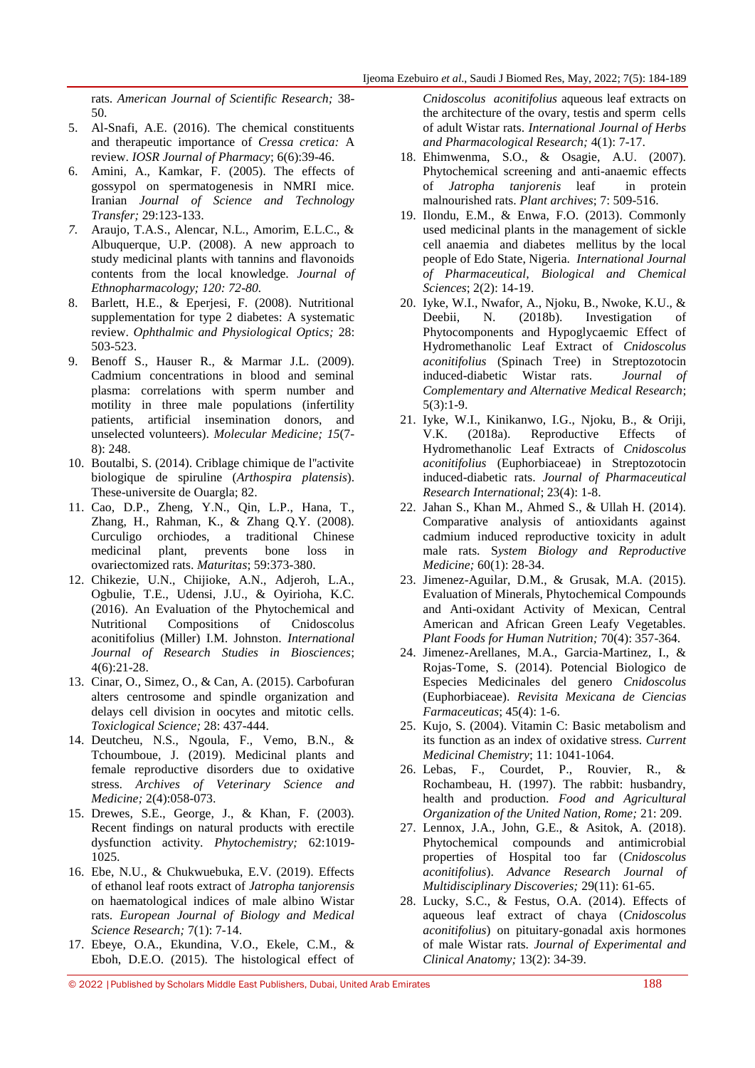rats. *American Journal of Scientific Research;* 38- 50.

- 5. Al-Snafi, A.E. (2016). The chemical constituents and therapeutic importance of *Cressa cretica:* A review. *IOSR Journal of Pharmacy*; 6(6):39-46.
- 6. Amini, A., Kamkar, F. (2005). The effects of gossypol on spermatogenesis in NMRI mice. Iranian *Journal of Science and Technology Transfer;* 29:123-133.
- *7.* Araujo, T.A.S., Alencar, N.L., Amorim, E.L.C., & Albuquerque, U.P. (2008). A new approach to study medicinal plants with tannins and flavonoids contents from the local knowledge. *Journal of Ethnopharmacology; 120: 72-80.*
- 8. Barlett, H.E., & Eperjesi, F. (2008). Nutritional supplementation for type 2 diabetes: A systematic review. *Ophthalmic and Physiological Optics;* 28: 503-523.
- 9. Benoff S., Hauser R., & Marmar J.L. (2009). Cadmium concentrations in blood and seminal plasma: correlations with sperm number and motility in three male populations (infertility patients, artificial insemination donors, and unselected volunteers). *Molecular Medicine; 15*(7- 8): 248.
- 10. Boutalbi, S. (2014). Criblage chimique de l''activite biologique de spiruline (*Arthospira platensis*). These-universite de Ouargla; 82.
- 11. Cao, D.P., Zheng, Y.N., Qin, L.P., Hana, T., Zhang, H., Rahman, K., & Zhang Q.Y. (2008). Curculigo orchiodes, a traditional Chinese medicinal plant, prevents bone loss in ovariectomized rats. *Maturitas*; 59:373-380.
- 12. Chikezie, U.N., Chijioke, A.N., Adjeroh, L.A., Ogbulie, T.E., Udensi, J.U., & Oyirioha, K.C. (2016). An Evaluation of the Phytochemical and Nutritional Compositions of Cnidoscolus aconitifolius (Miller) I.M. Johnston. *International Journal of Research Studies in Biosciences*; 4(6):21-28.
- 13. Cinar, O., Simez, O., & Can, A. (2015). Carbofuran alters centrosome and spindle organization and delays cell division in oocytes and mitotic cells. *Toxiclogical Science;* 28: 437-444.
- 14. Deutcheu, N.S., Ngoula, F., Vemo, B.N., & Tchoumboue, J. (2019). Medicinal plants and female reproductive disorders due to oxidative stress. *Archives of Veterinary Science and Medicine;* 2(4):058-073.
- 15. Drewes, S.E., George, J., & Khan, F. (2003). Recent findings on natural products with erectile dysfunction activity. *Phytochemistry;* 62:1019- 1025.
- 16. Ebe, N.U., & Chukwuebuka, E.V. (2019). Effects of ethanol leaf roots extract of *Jatropha tanjorensis* on haematological indices of male albino Wistar rats. *European Journal of Biology and Medical Science Research;* 7(1): 7-14.
- 17. Ebeye, O.A., Ekundina, V.O., Ekele, C.M., & Eboh, D.E.O. (2015). The histological effect of

*Cnidoscolus aconitifolius* aqueous leaf extracts on the architecture of the ovary, testis and sperm cells of adult Wistar rats. *International Journal of Herbs and Pharmacological Research;* 4(1): 7-17.

- 18. Ehimwenma, S.O., & Osagie, A.U. (2007). Phytochemical screening and anti-anaemic effects of *Jatropha tanjorenis* leaf in protein malnourished rats. *Plant archives*; 7: 509-516.
- 19. Ilondu, E.M., & Enwa, F.O. (2013). Commonly used medicinal plants in the management of sickle cell anaemia and diabetes mellitus by the local people of Edo State, Nigeria. *International Journal of Pharmaceutical, Biological and Chemical Sciences*; 2(2): 14-19.
- 20. Iyke, W.I., Nwafor, A., Njoku, B., Nwoke, K.U., & Deebii, N. (2018b). Investigation of Phytocomponents and Hypoglycaemic Effect of Hydromethanolic Leaf Extract of *Cnidoscolus aconitifolius* (Spinach Tree) in Streptozotocin induced-diabetic Wistar rats. *Journal of Complementary and Alternative Medical Research*; 5(3):1-9.
- 21. Iyke, W.I., Kinikanwo, I.G., Njoku, B., & Oriji, V.K. (2018a). Reproductive Effects of Hydromethanolic Leaf Extracts of *Cnidoscolus aconitifolius* (Euphorbiaceae) in Streptozotocin induced-diabetic rats. *Journal of Pharmaceutical Research International*; 23(4): 1-8.
- 22. Jahan S., Khan M., Ahmed S., & Ullah H. (2014). Comparative analysis of antioxidants against cadmium induced reproductive toxicity in adult male rats. S*ystem Biology and Reproductive Medicine;* 60(1): 28-34.
- 23. Jimenez-Aguilar, D.M., & Grusak, M.A. (2015). Evaluation of Minerals, Phytochemical Compounds and Anti-oxidant Activity of Mexican, Central American and African Green Leafy Vegetables. *Plant Foods for Human Nutrition;* 70(4): 357-364.
- 24. Jimenez-Arellanes, M.A., Garcia-Martinez, I., & Rojas-Tome, S. (2014). Potencial Biologico de Especies Medicinales del genero *Cnidoscolus*  (Euphorbiaceae). *Revisita Mexicana de Ciencias Farmaceuticas*; 45(4): 1-6.
- 25. Kujo, S. (2004). Vitamin C: Basic metabolism and its function as an index of oxidative stress. *Current Medicinal Chemistry*; 11: 1041-1064.
- 26. Lebas, F., Courdet, P., Rouvier, R., & Rochambeau, H. (1997). The rabbit: husbandry, health and production. *Food and Agricultural Organization of the United Nation, Rome;* 21: 209.
- 27. Lennox, J.A., John, G.E., & Asitok, A. (2018). Phytochemical compounds and antimicrobial properties of Hospital too far (*Cnidoscolus aconitifolius*). *Advance Research Journal of Multidisciplinary Discoveries;* 29(11): 61-65.
- 28. Lucky, S.C., & Festus, O.A. (2014). Effects of aqueous leaf extract of chaya (*Cnidoscolus aconitifolius*) on pituitary-gonadal axis hormones of male Wistar rats. *Journal of Experimental and Clinical Anatomy;* 13(2): 34-39.

© 2022 |Published by Scholars Middle East Publishers, Dubai, United Arab Emirates 188